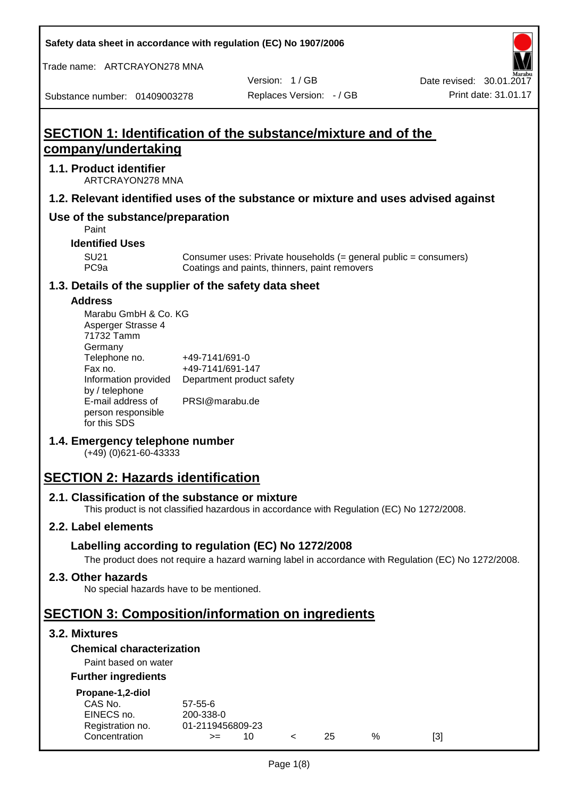**Safety data sheet in accordance with regulation (EC) No 1907/2006**

Trade name: ARTCRAYON278 MNA

Substance number: 01409003278

Version: 1 / GB

# **SECTION 1: Identification of the substance/mixture and of the company/undertaking**

## **1.1. Product identifier**

ARTCRAYON278 MNA

## **1.2. Relevant identified uses of the substance or mixture and uses advised against**

# **Use of the substance/preparation**

Paint

#### **Identified Uses**

SU21 Consumer uses: Private households (= general public = consumers)<br>PC9a Coatings and paints, thinners, paint removers Coatings and paints, thinners, paint removers

#### **1.3. Details of the supplier of the safety data sheet**

#### **Address**

| Marabu GmbH & Co. KG |                           |
|----------------------|---------------------------|
| Asperger Strasse 4   |                           |
| 71732 Tamm           |                           |
| Germany              |                           |
| Telephone no.        | +49-7141/691-0            |
| Fax no.              | +49-7141/691-147          |
| Information provided | Department product safety |
| by / telephone       |                           |
| E-mail address of    | PRSI@marabu.de            |
| person responsible   |                           |
| for this SDS         |                           |

## **1.4. Emergency telephone number**

(+49) (0)621-60-43333

# **SECTION 2: Hazards identification**

#### **2.1. Classification of the substance or mixture**

This product is not classified hazardous in accordance with Regulation (EC) No 1272/2008.

## **2.2. Label elements**

## **Labelling according to regulation (EC) No 1272/2008**

The product does not require a hazard warning label in accordance with Regulation (EC) No 1272/2008.

#### **2.3. Other hazards**

No special hazards have to be mentioned.

# **SECTION 3: Composition/information on ingredients**

## **3.2. Mixtures**

## **Chemical characterization**

## Paint based on water

#### **Further ingredients**

| Propane-1,2-diol |  |
|------------------|--|
|                  |  |

| CAS No.          | $57 - 55 - 6$    |     |     |   |     |
|------------------|------------------|-----|-----|---|-----|
| EINECS no.       | 200-338-0        |     |     |   |     |
| Registration no. | 01-2119456809-23 |     |     |   |     |
| Concentration    | $>=$             | 10. | 25. | % | [3] |
|                  |                  |     |     |   |     |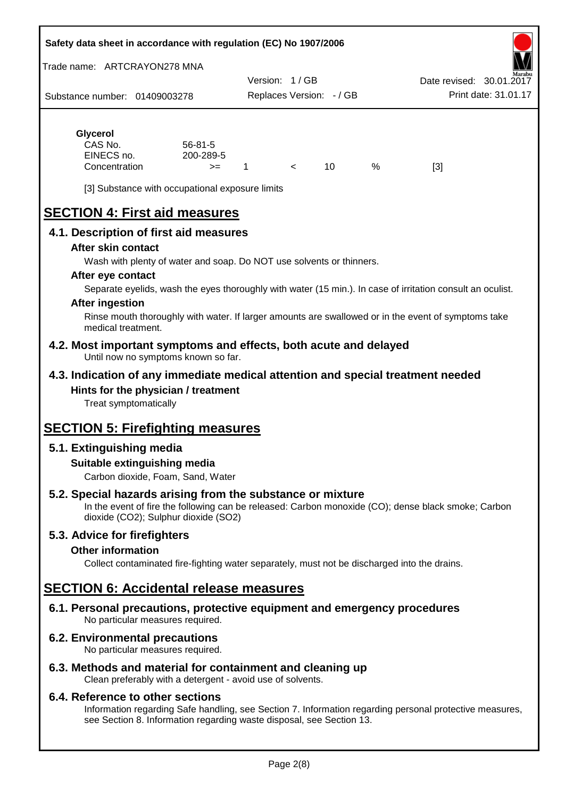#### **Safety data sheet in accordance with regulation (EC) No 1907/2006**

Trade name: ARTCRAYON278 MNA

Substance number: 01409003278 Version: 1 / GB Replaces Version: - / GB Print date: 31.01.17 Date revised: 30.01.2

# **Glycerol**

| CAS No.       | $56 - 81 - 5$ |  |   |                   |
|---------------|---------------|--|---|-------------------|
| EINECS no.    | 200-289-5     |  |   |                   |
| Concentration | $>=$          |  | % | $\lceil 3 \rceil$ |

[3] Substance with occupational exposure limits

# **SECTION 4: First aid measures**

## **4.1. Description of first aid measures**

#### **After skin contact**

Wash with plenty of water and soap. Do NOT use solvents or thinners.

#### **After eye contact**

Separate eyelids, wash the eyes thoroughly with water (15 min.). In case of irritation consult an oculist.

#### **After ingestion**

Rinse mouth thoroughly with water. If larger amounts are swallowed or in the event of symptoms take medical treatment.

#### **4.2. Most important symptoms and effects, both acute and delayed** Until now no symptoms known so far.

## **4.3. Indication of any immediate medical attention and special treatment needed Hints for the physician / treatment**

Treat symptomatically

# **SECTION 5: Firefighting measures**

# **5.1. Extinguishing media**

## **Suitable extinguishing media**

Carbon dioxide, Foam, Sand, Water

# **5.2. Special hazards arising from the substance or mixture**

In the event of fire the following can be released: Carbon monoxide (CO); dense black smoke; Carbon dioxide (CO2); Sulphur dioxide (SO2)

## **5.3. Advice for firefighters**

#### **Other information**

Collect contaminated fire-fighting water separately, must not be discharged into the drains.

# **SECTION 6: Accidental release measures**

**6.1. Personal precautions, protective equipment and emergency procedures** No particular measures required.

## **6.2. Environmental precautions**

No particular measures required.

## **6.3. Methods and material for containment and cleaning up**

Clean preferably with a detergent - avoid use of solvents.

#### **6.4. Reference to other sections**

Information regarding Safe handling, see Section 7. Information regarding personal protective measures, see Section 8. Information regarding waste disposal, see Section 13.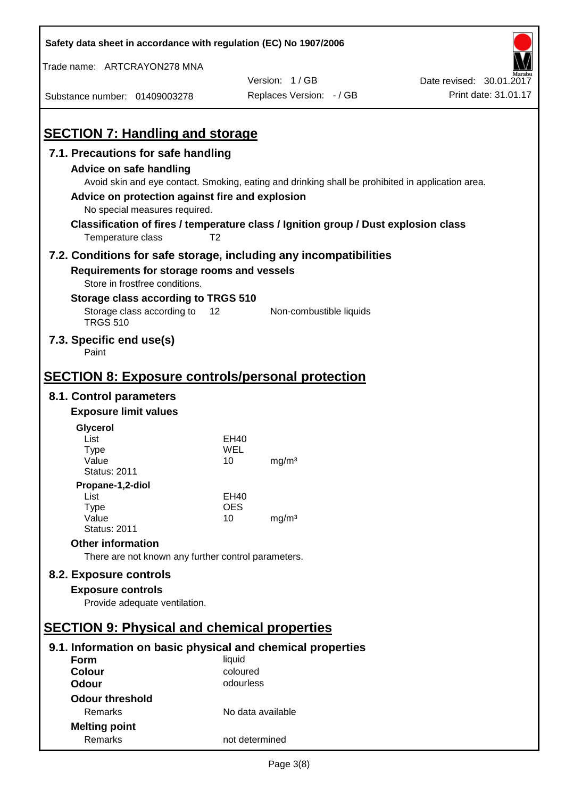| Safety data sheet in accordance with regulation (EC) No 1907/2006                                                                                 |                |                                                                                                   |                          |
|---------------------------------------------------------------------------------------------------------------------------------------------------|----------------|---------------------------------------------------------------------------------------------------|--------------------------|
| Trade name: ARTCRAYON278 MNA                                                                                                                      |                |                                                                                                   |                          |
|                                                                                                                                                   |                | Version: 1/GB                                                                                     | Date revised: 30.01.2017 |
| Substance number: 01409003278                                                                                                                     |                | Replaces Version: - / GB                                                                          | Print date: 31.01.17     |
|                                                                                                                                                   |                |                                                                                                   |                          |
| <b>SECTION 7: Handling and storage</b>                                                                                                            |                |                                                                                                   |                          |
| 7.1. Precautions for safe handling                                                                                                                |                |                                                                                                   |                          |
| Advice on safe handling<br>Advice on protection against fire and explosion<br>No special measures required.                                       |                | Avoid skin and eye contact. Smoking, eating and drinking shall be prohibited in application area. |                          |
| Classification of fires / temperature class / Ignition group / Dust explosion class<br>Temperature class                                          | T <sub>2</sub> |                                                                                                   |                          |
| 7.2. Conditions for safe storage, including any incompatibilities<br>Requirements for storage rooms and vessels<br>Store in frostfree conditions. |                |                                                                                                   |                          |
| Storage class according to TRGS 510                                                                                                               |                |                                                                                                   |                          |
| Storage class according to<br><b>TRGS 510</b>                                                                                                     | 12             | Non-combustible liquids                                                                           |                          |
| 7.3. Specific end use(s)<br>Paint                                                                                                                 |                |                                                                                                   |                          |
| <b>SECTION 8: Exposure controls/personal protection</b>                                                                                           |                |                                                                                                   |                          |
| 8.1. Control parameters                                                                                                                           |                |                                                                                                   |                          |
| <b>Exposure limit values</b>                                                                                                                      |                |                                                                                                   |                          |
| Glycerol                                                                                                                                          |                |                                                                                                   |                          |
| List                                                                                                                                              | EH40           |                                                                                                   |                          |
| Type                                                                                                                                              | WEL            |                                                                                                   |                          |
| Value<br><b>Status: 2011</b>                                                                                                                      | 10             | mg/m <sup>3</sup>                                                                                 |                          |
| Propane-1,2-diol                                                                                                                                  |                |                                                                                                   |                          |
| List                                                                                                                                              | EH40           |                                                                                                   |                          |
| Type                                                                                                                                              | <b>OES</b>     |                                                                                                   |                          |
| Value                                                                                                                                             | 10             | mg/m <sup>3</sup>                                                                                 |                          |
| <b>Status: 2011</b>                                                                                                                               |                |                                                                                                   |                          |
| <b>Other information</b><br>There are not known any further control parameters.                                                                   |                |                                                                                                   |                          |
|                                                                                                                                                   |                |                                                                                                   |                          |
| 8.2. Exposure controls                                                                                                                            |                |                                                                                                   |                          |
| <b>Exposure controls</b><br>Provide adequate ventilation.                                                                                         |                |                                                                                                   |                          |
|                                                                                                                                                   |                |                                                                                                   |                          |
| <b>SECTION 9: Physical and chemical properties</b>                                                                                                |                |                                                                                                   |                          |
| 9.1. Information on basic physical and chemical properties                                                                                        |                |                                                                                                   |                          |
| Form                                                                                                                                              | liquid         |                                                                                                   |                          |
| <b>Colour</b>                                                                                                                                     | coloured       |                                                                                                   |                          |
| <b>Odour</b>                                                                                                                                      | odourless      |                                                                                                   |                          |
| <b>Odour threshold</b>                                                                                                                            |                |                                                                                                   |                          |
| Remarks                                                                                                                                           |                | No data available                                                                                 |                          |
| <b>Melting point</b>                                                                                                                              |                |                                                                                                   |                          |
| Remarks                                                                                                                                           | not determined |                                                                                                   |                          |

 $\mathbf{r}$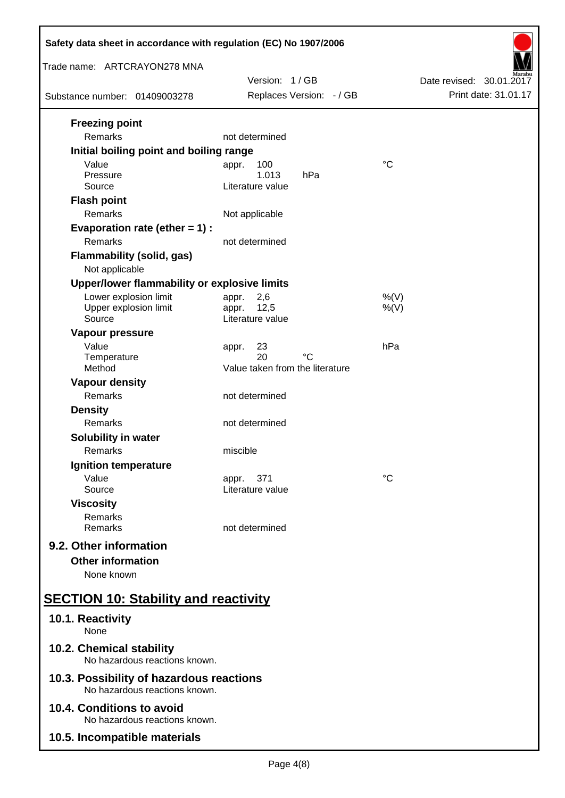| Safety data sheet in accordance with regulation (EC) No 1907/2006         |                                                            |                          |  |  |
|---------------------------------------------------------------------------|------------------------------------------------------------|--------------------------|--|--|
| Trade name: ARTCRAYON278 MNA                                              | Version: 1/GB                                              | Date revised: 30.01.2017 |  |  |
| Substance number: 01409003278                                             | Replaces Version: - / GB                                   | Print date: 31.01.17     |  |  |
| <b>Freezing point</b><br>Remarks                                          | not determined                                             |                          |  |  |
| Initial boiling point and boiling range                                   |                                                            |                          |  |  |
| Value<br>Pressure<br>Source                                               | 100<br>appr.<br>1.013<br>hPa<br>Literature value           | $\rm ^{\circ}C$          |  |  |
| <b>Flash point</b><br>Remarks                                             | Not applicable                                             |                          |  |  |
| Evaporation rate (ether $= 1$ ) :<br>Remarks                              | not determined                                             |                          |  |  |
| <b>Flammability (solid, gas)</b><br>Not applicable                        |                                                            |                          |  |  |
| Upper/lower flammability or explosive limits                              |                                                            |                          |  |  |
| Lower explosion limit<br>Upper explosion limit<br>Source                  | 2,6<br>appr.<br>12,5<br>appr.<br>Literature value          | $%$ (V)<br>$%$ (V)       |  |  |
| Vapour pressure<br>Value<br>Temperature                                   | 23<br>appr.<br>20<br>°C<br>Value taken from the literature | hPa                      |  |  |
| Method<br><b>Vapour density</b>                                           |                                                            |                          |  |  |
| Remarks                                                                   | not determined                                             |                          |  |  |
| <b>Density</b><br>Remarks                                                 | not determined                                             |                          |  |  |
| Solubility in water<br>Remarks                                            | miscible                                                   |                          |  |  |
| Ignition temperature                                                      |                                                            |                          |  |  |
| Value<br>Source                                                           | 371<br>appr.<br>Literature value                           | °C                       |  |  |
| <b>Viscosity</b><br>Remarks<br>Remarks                                    | not determined                                             |                          |  |  |
| 9.2. Other information<br><b>Other information</b><br>None known          |                                                            |                          |  |  |
| <b>SECTION 10: Stability and reactivity</b>                               |                                                            |                          |  |  |
| 10.1. Reactivity<br>None                                                  |                                                            |                          |  |  |
| 10.2. Chemical stability<br>No hazardous reactions known.                 |                                                            |                          |  |  |
| 10.3. Possibility of hazardous reactions<br>No hazardous reactions known. |                                                            |                          |  |  |
| 10.4. Conditions to avoid<br>No hazardous reactions known.                |                                                            |                          |  |  |
| 10.5. Incompatible materials                                              |                                                            |                          |  |  |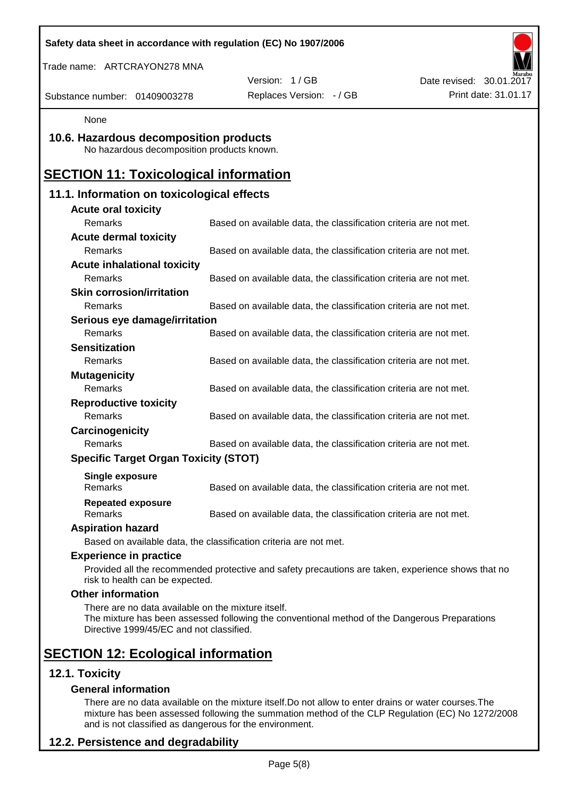| Safety data sheet in accordance with regulation (EC) No 1907/2006                              |                                                                                                    |                          |
|------------------------------------------------------------------------------------------------|----------------------------------------------------------------------------------------------------|--------------------------|
| Trade name: ARTCRAYON278 MNA                                                                   |                                                                                                    |                          |
|                                                                                                | Version: 1/GB                                                                                      | Date revised: 30.01.2017 |
| Substance number: 01409003278                                                                  | Replaces Version: - / GB                                                                           | Print date: 31.01.17     |
| None                                                                                           |                                                                                                    |                          |
| 10.6. Hazardous decomposition products<br>No hazardous decomposition products known.           |                                                                                                    |                          |
| <b>SECTION 11: Toxicological information</b>                                                   |                                                                                                    |                          |
| 11.1. Information on toxicological effects                                                     |                                                                                                    |                          |
| <b>Acute oral toxicity</b>                                                                     |                                                                                                    |                          |
| Remarks                                                                                        | Based on available data, the classification criteria are not met.                                  |                          |
| <b>Acute dermal toxicity</b>                                                                   |                                                                                                    |                          |
| Remarks                                                                                        | Based on available data, the classification criteria are not met.                                  |                          |
| <b>Acute inhalational toxicity</b>                                                             |                                                                                                    |                          |
| Remarks                                                                                        | Based on available data, the classification criteria are not met.                                  |                          |
| <b>Skin corrosion/irritation</b>                                                               |                                                                                                    |                          |
| Remarks                                                                                        | Based on available data, the classification criteria are not met.                                  |                          |
| Serious eye damage/irritation                                                                  |                                                                                                    |                          |
| Remarks                                                                                        | Based on available data, the classification criteria are not met.                                  |                          |
| <b>Sensitization</b>                                                                           |                                                                                                    |                          |
| Remarks                                                                                        | Based on available data, the classification criteria are not met.                                  |                          |
| <b>Mutagenicity</b>                                                                            |                                                                                                    |                          |
| Remarks                                                                                        | Based on available data, the classification criteria are not met.                                  |                          |
| <b>Reproductive toxicity</b><br>Remarks                                                        |                                                                                                    |                          |
|                                                                                                | Based on available data, the classification criteria are not met.                                  |                          |
| Carcinogenicity<br>Remarks                                                                     | Based on available data, the classification criteria are not met.                                  |                          |
| <b>Specific Target Organ Toxicity (STOT)</b>                                                   |                                                                                                    |                          |
|                                                                                                |                                                                                                    |                          |
| <b>Single exposure</b><br>Remarks                                                              | Based on available data, the classification criteria are not met.                                  |                          |
| <b>Repeated exposure</b><br>Remarks                                                            | Based on available data, the classification criteria are not met.                                  |                          |
| <b>Aspiration hazard</b>                                                                       |                                                                                                    |                          |
|                                                                                                | Based on available data, the classification criteria are not met.                                  |                          |
| <b>Experience in practice</b>                                                                  |                                                                                                    |                          |
| risk to health can be expected.                                                                | Provided all the recommended protective and safety precautions are taken, experience shows that no |                          |
| <b>Other information</b>                                                                       |                                                                                                    |                          |
| There are no data available on the mixture itself.<br>Directive 1999/45/EC and not classified. | The mixture has been assessed following the conventional method of the Dangerous Preparations      |                          |
| <b>SECTION 12: Ecological information</b>                                                      |                                                                                                    |                          |
| 12.1. Toxicity                                                                                 |                                                                                                    |                          |
| <b>General information</b>                                                                     |                                                                                                    |                          |

There are no data available on the mixture itself.Do not allow to enter drains or water courses.The mixture has been assessed following the summation method of the CLP Regulation (EC) No 1272/2008 and is not classified as dangerous for the environment.

# **12.2. Persistence and degradability**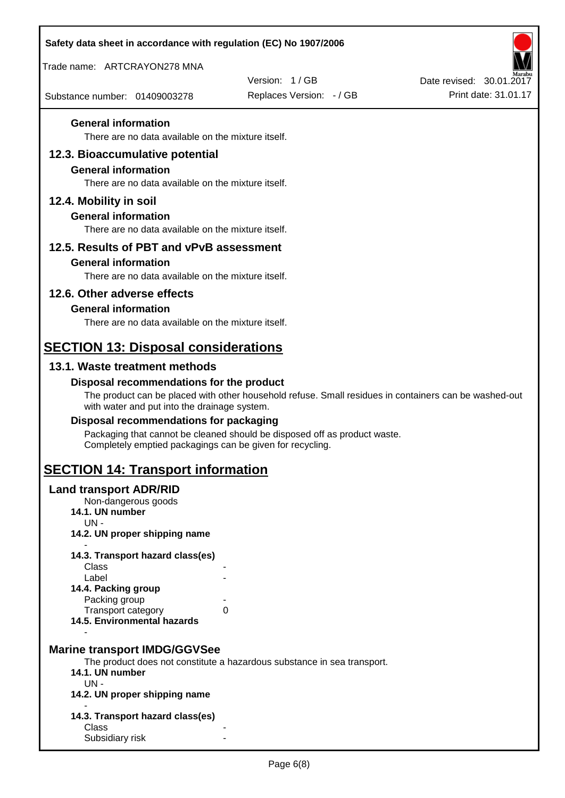| Safety data sheet in accordance with regulation (EC) No 1907/2006 |                                                                                                       |                          |
|-------------------------------------------------------------------|-------------------------------------------------------------------------------------------------------|--------------------------|
| Trade name: ARTCRAYON278 MNA                                      |                                                                                                       |                          |
|                                                                   | Version: 1/GB                                                                                         | Date revised: 30.01.2017 |
| Substance number: 01409003278                                     | Replaces Version: - / GB                                                                              | Print date: 31.01.17     |
| <b>General information</b>                                        |                                                                                                       |                          |
| There are no data available on the mixture itself.                |                                                                                                       |                          |
| 12.3. Bioaccumulative potential<br><b>General information</b>     |                                                                                                       |                          |
| There are no data available on the mixture itself.                |                                                                                                       |                          |
| 12.4. Mobility in soil                                            |                                                                                                       |                          |
| <b>General information</b>                                        |                                                                                                       |                          |
| There are no data available on the mixture itself.                |                                                                                                       |                          |
| 12.5. Results of PBT and vPvB assessment                          |                                                                                                       |                          |
| <b>General information</b>                                        |                                                                                                       |                          |
| There are no data available on the mixture itself.                |                                                                                                       |                          |
| 12.6. Other adverse effects                                       |                                                                                                       |                          |
| <b>General information</b>                                        |                                                                                                       |                          |
| There are no data available on the mixture itself.                |                                                                                                       |                          |
| <b>SECTION 13: Disposal considerations</b>                        |                                                                                                       |                          |
| 13.1. Waste treatment methods                                     |                                                                                                       |                          |
| Disposal recommendations for the product                          |                                                                                                       |                          |
| with water and put into the drainage system.                      | The product can be placed with other household refuse. Small residues in containers can be washed-out |                          |
| Disposal recommendations for packaging                            |                                                                                                       |                          |
| Completely emptied packagings can be given for recycling.         | Packaging that cannot be cleaned should be disposed off as product waste.                             |                          |
| <b>SECTION 14: Transport information</b>                          |                                                                                                       |                          |
| <b>Land transport ADR/RID</b>                                     |                                                                                                       |                          |
| Non-dangerous goods<br>14.1. UN number                            |                                                                                                       |                          |
| UN-                                                               |                                                                                                       |                          |
| 14.2. UN proper shipping name                                     |                                                                                                       |                          |
| 14.3. Transport hazard class(es)                                  |                                                                                                       |                          |
| Class                                                             |                                                                                                       |                          |
| Label<br>14.4. Packing group                                      |                                                                                                       |                          |
| Packing group                                                     |                                                                                                       |                          |
| Transport category<br>0<br>14.5. Environmental hazards            |                                                                                                       |                          |
|                                                                   |                                                                                                       |                          |
| <b>Marine transport IMDG/GGVSee</b>                               |                                                                                                       |                          |
| 14.1. UN number                                                   | The product does not constitute a hazardous substance in sea transport.                               |                          |
| $UN -$                                                            |                                                                                                       |                          |
| 14.2. UN proper shipping name                                     |                                                                                                       |                          |
| 14.3. Transport hazard class(es)                                  |                                                                                                       |                          |
| <b>Class</b><br>Subsidiary risk                                   |                                                                                                       |                          |
|                                                                   |                                                                                                       |                          |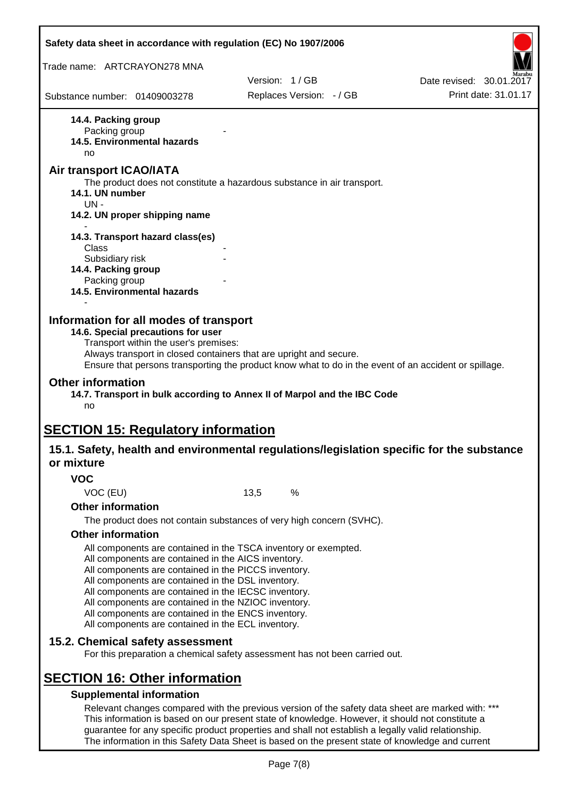| Safety data sheet in accordance with regulation (EC) No 1907/2006                                          |                                                                                                       |                          |
|------------------------------------------------------------------------------------------------------------|-------------------------------------------------------------------------------------------------------|--------------------------|
| Trade name: ARTCRAYON278 MNA                                                                               |                                                                                                       |                          |
|                                                                                                            | Version: 1/GB                                                                                         | Date revised: 30.01.2017 |
| Substance number: 01409003278                                                                              | Replaces Version: - / GB                                                                              | Print date: 31.01.17     |
| 14.4. Packing group                                                                                        |                                                                                                       |                          |
| Packing group<br>14.5. Environmental hazards                                                               |                                                                                                       |                          |
| no                                                                                                         |                                                                                                       |                          |
| Air transport ICAO/IATA                                                                                    |                                                                                                       |                          |
|                                                                                                            | The product does not constitute a hazardous substance in air transport.                               |                          |
| 14.1. UN number<br>$UN -$                                                                                  |                                                                                                       |                          |
| 14.2. UN proper shipping name                                                                              |                                                                                                       |                          |
| 14.3. Transport hazard class(es)                                                                           |                                                                                                       |                          |
| Class                                                                                                      |                                                                                                       |                          |
| Subsidiary risk<br>14.4. Packing group                                                                     |                                                                                                       |                          |
| Packing group                                                                                              |                                                                                                       |                          |
| 14.5. Environmental hazards                                                                                |                                                                                                       |                          |
|                                                                                                            |                                                                                                       |                          |
| Information for all modes of transport                                                                     |                                                                                                       |                          |
| 14.6. Special precautions for user<br>Transport within the user's premises:                                |                                                                                                       |                          |
|                                                                                                            | Always transport in closed containers that are upright and secure.                                    |                          |
|                                                                                                            | Ensure that persons transporting the product know what to do in the event of an accident or spillage. |                          |
| <b>Other information</b><br>no                                                                             | 14.7. Transport in bulk according to Annex II of Marpol and the IBC Code                              |                          |
| <b>SECTION 15: Regulatory information</b>                                                                  |                                                                                                       |                          |
| 15.1. Safety, health and environmental regulations/legislation specific for the substance                  |                                                                                                       |                          |
| or mixture                                                                                                 |                                                                                                       |                          |
| <b>VOC</b>                                                                                                 |                                                                                                       |                          |
| VOC (EU)                                                                                                   | 13,5<br>%                                                                                             |                          |
| <b>Other information</b>                                                                                   |                                                                                                       |                          |
|                                                                                                            | The product does not contain substances of very high concern (SVHC).                                  |                          |
| <b>Other information</b>                                                                                   |                                                                                                       |                          |
|                                                                                                            | All components are contained in the TSCA inventory or exempted.                                       |                          |
| All components are contained in the AICS inventory.                                                        |                                                                                                       |                          |
| All components are contained in the PICCS inventory.<br>All components are contained in the DSL inventory. |                                                                                                       |                          |
| All components are contained in the IECSC inventory.                                                       |                                                                                                       |                          |
| All components are contained in the NZIOC inventory.                                                       |                                                                                                       |                          |
| All components are contained in the ENCS inventory.<br>All components are contained in the ECL inventory.  |                                                                                                       |                          |
| 15.2. Chemical safety assessment                                                                           |                                                                                                       |                          |
|                                                                                                            | For this preparation a chemical safety assessment has not been carried out.                           |                          |
|                                                                                                            |                                                                                                       |                          |
| <b>SECTION 16: Other information</b>                                                                       |                                                                                                       |                          |
| <b>Supplemental information</b>                                                                            | Relevant changes compared with the previous version of the safety data sheet are marked with: ***     |                          |
|                                                                                                            | This information is based on our present state of knowledge. However, it should not constitute a      |                          |
|                                                                                                            | guarantee for any specific product properties and shall not establish a legally valid relationship.   |                          |

Page 7(8)

The information in this Safety Data Sheet is based on the present state of knowledge and current